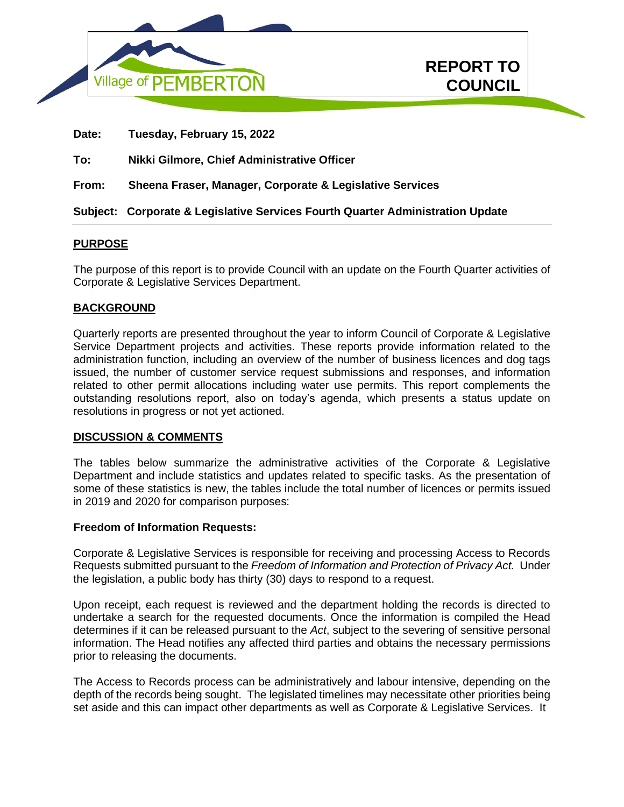

| <b>REPORT TO</b> |
|------------------|
| <b>COUNCIL</b>   |

**In Camera** 

|       | Subject: Corporate & Legislative Services Fourth Quarter Administration Update |
|-------|--------------------------------------------------------------------------------|
| From: | Sheena Fraser, Manager, Corporate & Legislative Services                       |
| To:   | Nikki Gilmore, Chief Administrative Officer                                    |
| Date: | Tuesday, February 15, 2022                                                     |

# **PURPOSE**

The purpose of this report is to provide Council with an update on the Fourth Quarter activities of Corporate & Legislative Services Department.

## **BACKGROUND**

Quarterly reports are presented throughout the year to inform Council of Corporate & Legislative Service Department projects and activities. These reports provide information related to the administration function, including an overview of the number of business licences and dog tags issued, the number of customer service request submissions and responses, and information related to other permit allocations including water use permits. This report complements the outstanding resolutions report, also on today's agenda, which presents a status update on resolutions in progress or not yet actioned.

## **DISCUSSION & COMMENTS**

The tables below summarize the administrative activities of the Corporate & Legislative Department and include statistics and updates related to specific tasks. As the presentation of some of these statistics is new, the tables include the total number of licences or permits issued in 2019 and 2020 for comparison purposes:

## **Freedom of Information Requests:**

Corporate & Legislative Services is responsible for receiving and processing Access to Records Requests submitted pursuant to the *Freedom of Information and Protection of Privacy Act.* Under the legislation, a public body has thirty (30) days to respond to a request.

Upon receipt, each request is reviewed and the department holding the records is directed to undertake a search for the requested documents. Once the information is compiled the Head determines if it can be released pursuant to the *Act*, subject to the severing of sensitive personal information. The Head notifies any affected third parties and obtains the necessary permissions prior to releasing the documents.

The Access to Records process can be administratively and labour intensive, depending on the depth of the records being sought. The legislated timelines may necessitate other priorities being set aside and this can impact other departments as well as Corporate & Legislative Services. It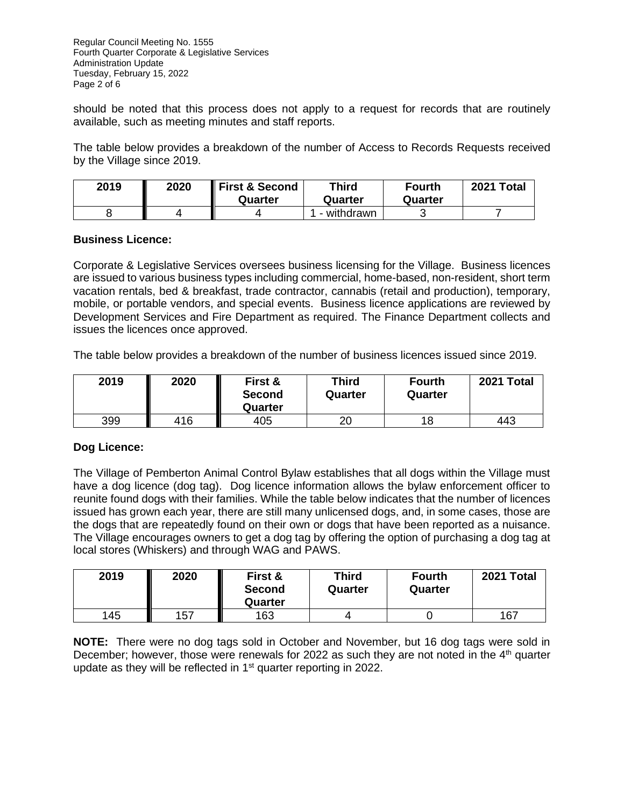Regular Council Meeting No. 1555 Fourth Quarter Corporate & Legislative Services Administration Update Tuesday, February 15, 2022 Page 2 of 6

should be noted that this process does not apply to a request for records that are routinely available, such as meeting minutes and staff reports.

The table below provides a breakdown of the number of Access to Records Requests received by the Village since 2019.

| 2019 | 2020 | First & Second<br>Quarter | <b>Third</b><br>Quarter | <b>Fourth</b><br>Quarter | 2021 Total |
|------|------|---------------------------|-------------------------|--------------------------|------------|
|      |      |                           | - withdrawn             |                          |            |

## **Business Licence:**

Corporate & Legislative Services oversees business licensing for the Village. Business licences are issued to various business types including commercial, home-based, non-resident, short term vacation rentals, bed & breakfast, trade contractor, cannabis (retail and production), temporary, mobile, or portable vendors, and special events. Business licence applications are reviewed by Development Services and Fire Department as required. The Finance Department collects and issues the licences once approved.

The table below provides a breakdown of the number of business licences issued since 2019.

| 2019 | 2020 | First &<br><b>Second</b><br>Quarter | Third<br>Quarter | <b>Fourth</b><br>Quarter | 2021 Total |
|------|------|-------------------------------------|------------------|--------------------------|------------|
| 399  | 416  | 405                                 | ว∩               | 18                       | 443        |

## **Dog Licence:**

The Village of Pemberton Animal Control Bylaw establishes that all dogs within the Village must have a dog licence (dog tag). Dog licence information allows the bylaw enforcement officer to reunite found dogs with their families. While the table below indicates that the number of licences issued has grown each year, there are still many unlicensed dogs, and, in some cases, those are the dogs that are repeatedly found on their own or dogs that have been reported as a nuisance. The Village encourages owners to get a dog tag by offering the option of purchasing a dog tag at local stores (Whiskers) and through WAG and PAWS.

| 2019 | 2020 | First &<br><b>Second</b><br>Quarter | Third<br>Quarter | <b>Fourth</b><br>Quarter | 2021 Total |
|------|------|-------------------------------------|------------------|--------------------------|------------|
| 145  | 157  | 163                                 |                  |                          | 167        |

**NOTE:** There were no dog tags sold in October and November, but 16 dog tags were sold in December; however, those were renewals for 2022 as such they are not noted in the  $4<sup>th</sup>$  quarter update as they will be reflected in  $1<sup>st</sup>$  quarter reporting in 2022.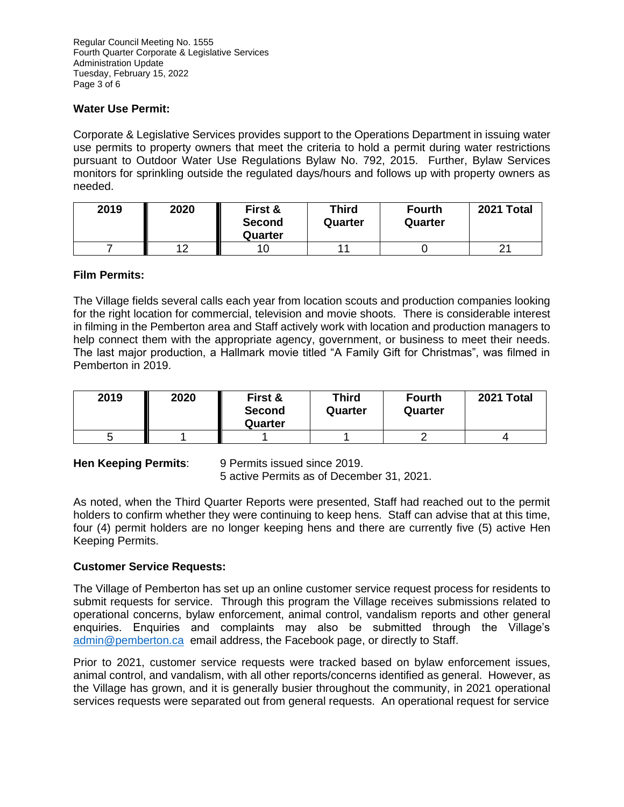## **Water Use Permit:**

Corporate & Legislative Services provides support to the Operations Department in issuing water use permits to property owners that meet the criteria to hold a permit during water restrictions pursuant to Outdoor Water Use Regulations Bylaw No. 792, 2015. Further, Bylaw Services monitors for sprinkling outside the regulated days/hours and follows up with property owners as needed.

| 2019 | 2020 | First &<br><b>Second</b><br>Quarter | <b>Third</b><br>Quarter | <b>Fourth</b><br>Quarter | 2021 Total |
|------|------|-------------------------------------|-------------------------|--------------------------|------------|
|      | 1 ຕ  |                                     |                         |                          |            |

## **Film Permits:**

The Village fields several calls each year from location scouts and production companies looking for the right location for commercial, television and movie shoots. There is considerable interest in filming in the Pemberton area and Staff actively work with location and production managers to help connect them with the appropriate agency, government, or business to meet their needs. The last major production, a Hallmark movie titled "A Family Gift for Christmas", was filmed in Pemberton in 2019.

| 2019 | 2020 | First &<br><b>Second</b><br>Quarter | <b>Third</b><br>Quarter | <b>Fourth</b><br>Quarter | 2021 Total |
|------|------|-------------------------------------|-------------------------|--------------------------|------------|
|      |      |                                     |                         |                          |            |

**Hen Keeping Permits**: 9 Permits issued since 2019. 5 active Permits as of December 31, 2021.

As noted, when the Third Quarter Reports were presented, Staff had reached out to the permit holders to confirm whether they were continuing to keep hens. Staff can advise that at this time, four (4) permit holders are no longer keeping hens and there are currently five (5) active Hen Keeping Permits.

# **Customer Service Requests:**

The Village of Pemberton has set up an online customer service request process for residents to submit requests for service. Through this program the Village receives submissions related to operational concerns, bylaw enforcement, animal control, vandalism reports and other general enquiries. Enquiries and complaints may also be submitted through the Village's [admin@pemberton.ca](mailto:admin@pemberton.ca) email address, the Facebook page, or directly to Staff.

Prior to 2021, customer service requests were tracked based on bylaw enforcement issues, animal control, and vandalism, with all other reports/concerns identified as general. However, as the Village has grown, and it is generally busier throughout the community, in 2021 operational services requests were separated out from general requests. An operational request for service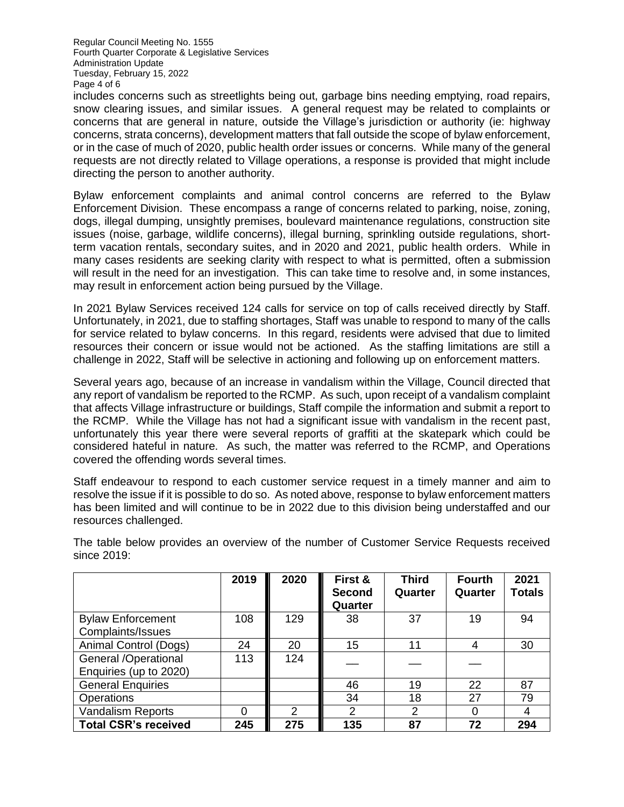Regular Council Meeting No. 1555 Fourth Quarter Corporate & Legislative Services Administration Update Tuesday, February 15, 2022 Page 4 of 6

includes concerns such as streetlights being out, garbage bins needing emptying, road repairs, snow clearing issues, and similar issues. A general request may be related to complaints or concerns that are general in nature, outside the Village's jurisdiction or authority (ie: highway concerns, strata concerns), development matters that fall outside the scope of bylaw enforcement, or in the case of much of 2020, public health order issues or concerns. While many of the general requests are not directly related to Village operations, a response is provided that might include directing the person to another authority.

Bylaw enforcement complaints and animal control concerns are referred to the Bylaw Enforcement Division. These encompass a range of concerns related to parking, noise, zoning, dogs, illegal dumping, unsightly premises, boulevard maintenance regulations, construction site issues (noise, garbage, wildlife concerns), illegal burning, sprinkling outside regulations, shortterm vacation rentals, secondary suites, and in 2020 and 2021, public health orders. While in many cases residents are seeking clarity with respect to what is permitted, often a submission will result in the need for an investigation. This can take time to resolve and, in some instances, may result in enforcement action being pursued by the Village.

In 2021 Bylaw Services received 124 calls for service on top of calls received directly by Staff. Unfortunately, in 2021, due to staffing shortages, Staff was unable to respond to many of the calls for service related to bylaw concerns. In this regard, residents were advised that due to limited resources their concern or issue would not be actioned. As the staffing limitations are still a challenge in 2022, Staff will be selective in actioning and following up on enforcement matters.

Several years ago, because of an increase in vandalism within the Village, Council directed that any report of vandalism be reported to the RCMP. As such, upon receipt of a vandalism complaint that affects Village infrastructure or buildings, Staff compile the information and submit a report to the RCMP. While the Village has not had a significant issue with vandalism in the recent past, unfortunately this year there were several reports of graffiti at the skatepark which could be considered hateful in nature. As such, the matter was referred to the RCMP, and Operations covered the offending words several times.

Staff endeavour to respond to each customer service request in a timely manner and aim to resolve the issue if it is possible to do so. As noted above, response to bylaw enforcement matters has been limited and will continue to be in 2022 due to this division being understaffed and our resources challenged.

|                                                | 2019     | 2020           | First &<br><b>Second</b><br>Quarter | <b>Third</b><br>Quarter | <b>Fourth</b><br>Quarter | 2021<br><b>Totals</b> |
|------------------------------------------------|----------|----------------|-------------------------------------|-------------------------|--------------------------|-----------------------|
| <b>Bylaw Enforcement</b><br>Complaints/Issues  | 108      | 129            | 38                                  | 37                      | 19                       | 94                    |
| Animal Control (Dogs)                          | 24       | 20             | 15                                  | 11                      | 4                        | 30                    |
| General /Operational<br>Enquiries (up to 2020) | 113      | 124            |                                     |                         |                          |                       |
| <b>General Enquiries</b>                       |          |                | 46                                  | 19                      | 22                       | 87                    |
| Operations                                     |          |                | 34                                  | 18                      | 27                       | 79                    |
| <b>Vandalism Reports</b>                       | $\Omega$ | $\overline{2}$ | 2                                   | 2                       | 0                        | 4                     |
| <b>Total CSR's received</b>                    | 245      | 275            | 135                                 | 87                      | 72                       | 294                   |

The table below provides an overview of the number of Customer Service Requests received since 2019: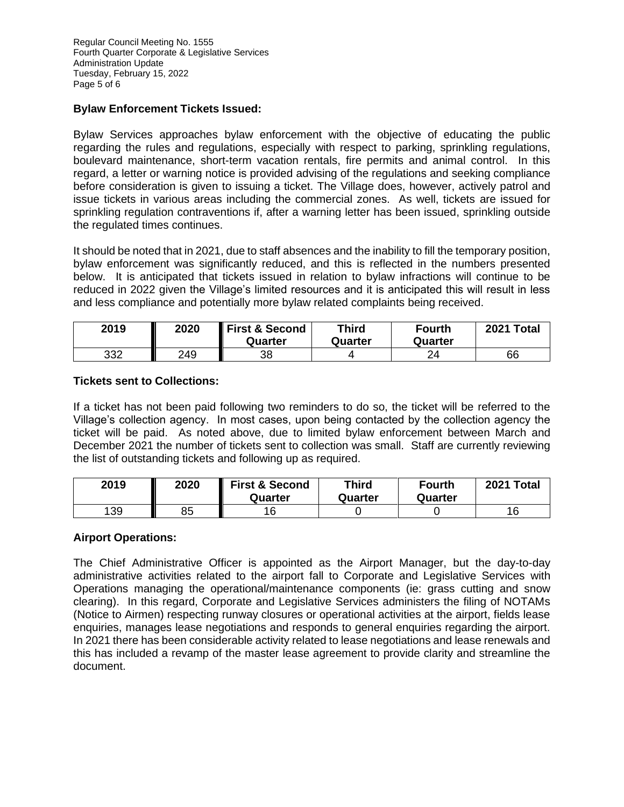# **Bylaw Enforcement Tickets Issued:**

Bylaw Services approaches bylaw enforcement with the objective of educating the public regarding the rules and regulations, especially with respect to parking, sprinkling regulations, boulevard maintenance, short-term vacation rentals, fire permits and animal control. In this regard, a letter or warning notice is provided advising of the regulations and seeking compliance before consideration is given to issuing a ticket. The Village does, however, actively patrol and issue tickets in various areas including the commercial zones. As well, tickets are issued for sprinkling regulation contraventions if, after a warning letter has been issued, sprinkling outside the regulated times continues.

It should be noted that in 2021, due to staff absences and the inability to fill the temporary position, bylaw enforcement was significantly reduced, and this is reflected in the numbers presented below. It is anticipated that tickets issued in relation to bylaw infractions will continue to be reduced in 2022 given the Village's limited resources and it is anticipated this will result in less and less compliance and potentially more bylaw related complaints being received.

| 2019 | 2020 | <b>First &amp; Second</b><br>Quarter | <b>Third</b><br>Quarter | <b>Fourth</b><br>Quarter | 2021 Total |
|------|------|--------------------------------------|-------------------------|--------------------------|------------|
| 332  | 249  | 38                                   |                         | 24                       | 66         |

## **Tickets sent to Collections:**

If a ticket has not been paid following two reminders to do so, the ticket will be referred to the Village's collection agency. In most cases, upon being contacted by the collection agency the ticket will be paid. As noted above, due to limited bylaw enforcement between March and December 2021 the number of tickets sent to collection was small. Staff are currently reviewing the list of outstanding tickets and following up as required.

| 2019 | 2020 | <b>First &amp; Second</b><br>Quarter | <b>Third</b><br>Quarter | <b>Fourth</b><br>Quarter | 2021 Total |
|------|------|--------------------------------------|-------------------------|--------------------------|------------|
| 139  | 85   | 16                                   |                         |                          | 16         |

## **Airport Operations:**

The Chief Administrative Officer is appointed as the Airport Manager, but the day-to-day administrative activities related to the airport fall to Corporate and Legislative Services with Operations managing the operational/maintenance components (ie: grass cutting and snow clearing). In this regard, Corporate and Legislative Services administers the filing of NOTAMs (Notice to Airmen) respecting runway closures or operational activities at the airport, fields lease enquiries, manages lease negotiations and responds to general enquiries regarding the airport. In 2021 there has been considerable activity related to lease negotiations and lease renewals and this has included a revamp of the master lease agreement to provide clarity and streamline the document.